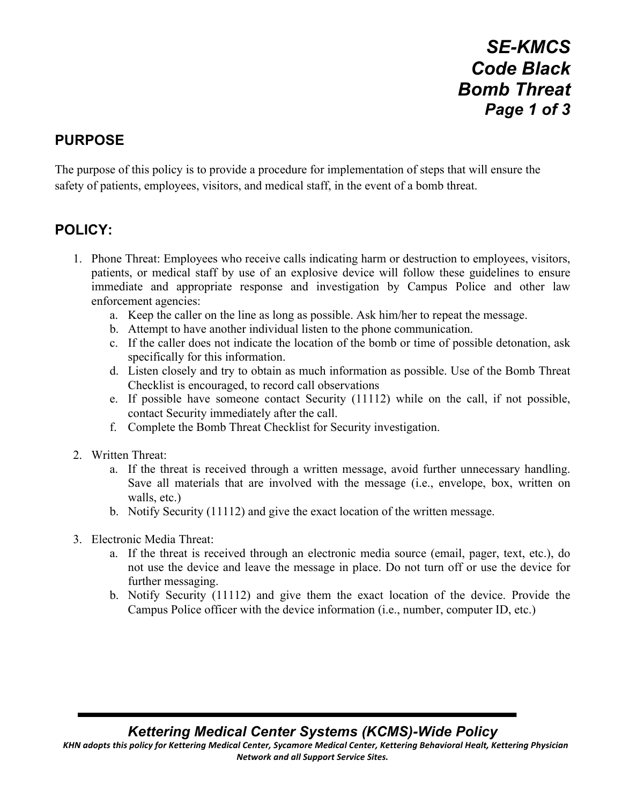*SE-KMCS Code Black Bomb Threat Page 1 of 3*

## **PURPOSE**

The purpose of this policy is to provide a procedure for implementation of steps that will ensure the safety of patients, employees, visitors, and medical staff, in the event of a bomb threat.

## **POLICY:**

- 1. Phone Threat: Employees who receive calls indicating harm or destruction to employees, visitors, patients, or medical staff by use of an explosive device will follow these guidelines to ensure immediate and appropriate response and investigation by Campus Police and other law enforcement agencies:
	- a. Keep the caller on the line as long as possible. Ask him/her to repeat the message.
	- b. Attempt to have another individual listen to the phone communication.
	- c. If the caller does not indicate the location of the bomb or time of possible detonation, ask specifically for this information.
	- d. Listen closely and try to obtain as much information as possible. Use of the Bomb Threat Checklist is encouraged, to record call observations
	- e. If possible have someone contact Security (11112) while on the call, if not possible, contact Security immediately after the call.
	- f. Complete the Bomb Threat Checklist for Security investigation.
- 2. Written Threat:
	- a. If the threat is received through a written message, avoid further unnecessary handling. Save all materials that are involved with the message (i.e., envelope, box, written on walls, etc.)
	- b. Notify Security (11112) and give the exact location of the written message.
- 3. Electronic Media Threat:
	- a. If the threat is received through an electronic media source (email, pager, text, etc.), do not use the device and leave the message in place. Do not turn off or use the device for further messaging.
	- b. Notify Security (11112) and give them the exact location of the device. Provide the Campus Police officer with the device information (i.e., number, computer ID, etc.)

*Kettering Medical Center Systems (KCMS)-Wide Policy*

KHN adopts this policy for Kettering Medical Center, Sycamore Medical Center, Kettering Behavioral Healt, Kettering Physician *Network and all Support Service Sites.*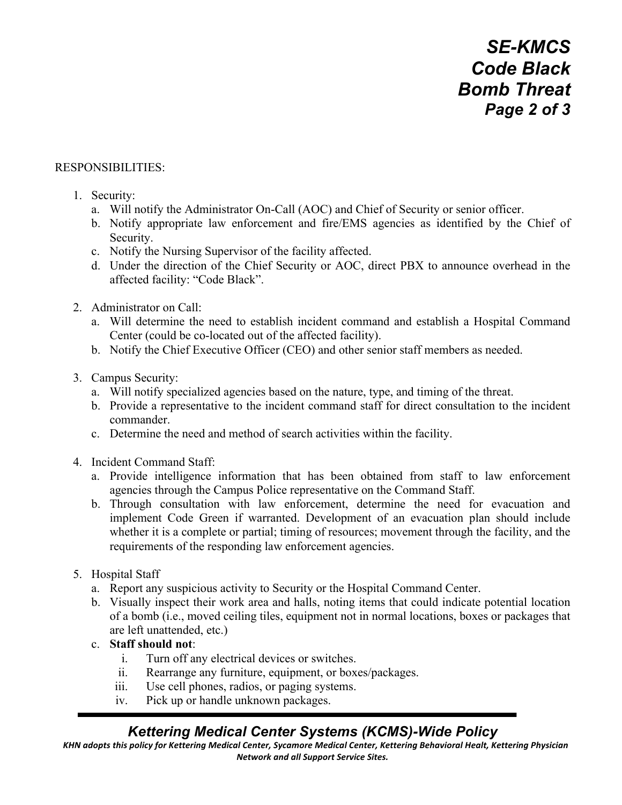#### RESPONSIBILITIES:

- 1. Security:
	- a. Will notify the Administrator On-Call (AOC) and Chief of Security or senior officer.
	- b. Notify appropriate law enforcement and fire/EMS agencies as identified by the Chief of Security.
	- c. Notify the Nursing Supervisor of the facility affected.
	- d. Under the direction of the Chief Security or AOC, direct PBX to announce overhead in the affected facility: "Code Black".
- 2. Administrator on Call:
	- a. Will determine the need to establish incident command and establish a Hospital Command Center (could be co-located out of the affected facility).
	- b. Notify the Chief Executive Officer (CEO) and other senior staff members as needed.
- 3. Campus Security:
	- a. Will notify specialized agencies based on the nature, type, and timing of the threat.
	- b. Provide a representative to the incident command staff for direct consultation to the incident commander.
	- c. Determine the need and method of search activities within the facility.
- 4. Incident Command Staff:
	- a. Provide intelligence information that has been obtained from staff to law enforcement agencies through the Campus Police representative on the Command Staff.
	- b. Through consultation with law enforcement, determine the need for evacuation and implement Code Green if warranted. Development of an evacuation plan should include whether it is a complete or partial; timing of resources; movement through the facility, and the requirements of the responding law enforcement agencies.
- 5. Hospital Staff
	- a. Report any suspicious activity to Security or the Hospital Command Center.
	- b. Visually inspect their work area and halls, noting items that could indicate potential location of a bomb (i.e., moved ceiling tiles, equipment not in normal locations, boxes or packages that are left unattended, etc.)
	- c. **Staff should not**:
		- i. Turn off any electrical devices or switches.
		- ii. Rearrange any furniture, equipment, or boxes/packages.
		- iii. Use cell phones, radios, or paging systems.
		- iv. Pick up or handle unknown packages.

## *Kettering Medical Center Systems (KCMS)-Wide Policy*

KHN adopts this policy for Kettering Medical Center, Sycamore Medical Center, Kettering Behavioral Healt, Kettering Physician *Network and all Support Service Sites.*